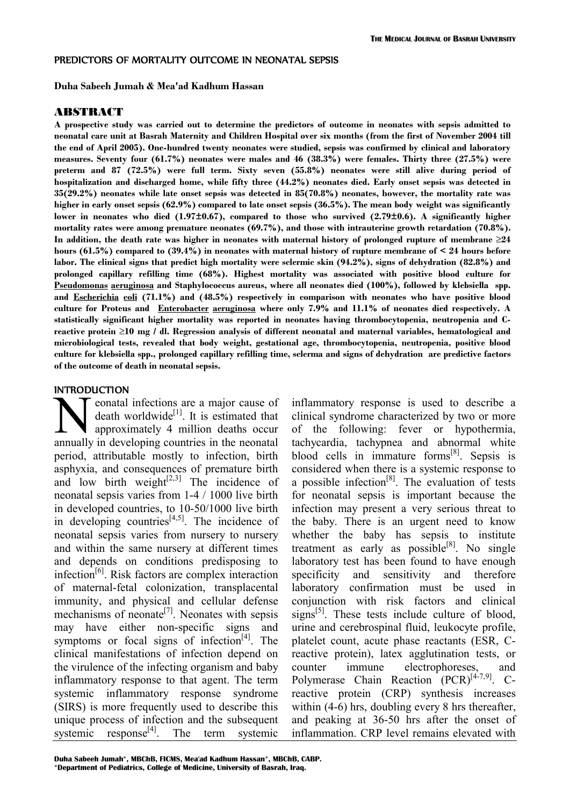## PREDICTORS OF MORTALITY OUTCOME IN NEONATAL SEPSIS

**Duha Sabeeh Jumah & Mea'ad Kadhum Hassan**

#### ABSTRACT

**A prospective study was carried out to determine the predictors of outcome in neonates with sepsis admitted to neonatal care unit at Basrah Maternity and Children Hospital over six months (from the first of November 2004 till the end of April 2005). One-hundred twenty neonates were studied, sepsis was confirmed by clinical and laboratory measures. Seventy four (61.7%) neonates were males and 46 (38.3%) were females. Thirty three (27.5%) were preterm and 87 (72.5%) were full term. Sixty seven (55.8%) neonates were still alive during period of hospitalization and discharged home, while fifty three (44.2%) neonates died. Early onset sepsis was detected in 35(29.2%) neonates while late onset sepsis was detected in 85(70.8%) neonates, however, the mortality rate was higher in early onset sepsis (62.9%) compared to late onset sepsis (36.5%). The mean body weight was significantly lower in neonates who died (1.97±0.67), compared to those who survived (2.79±0.6). A significantly higher mortality rates were among premature neonates (69.7%), and those with intrauterine growth retardation (70.8%). In addition, the death rate was higher in neonates with maternal history of prolonged rupture of membrane ≥24 hours (61.5%) compared to (39.4%) in neonates with maternal history of rupture membrane of < 24 hours before labor. The clinical signs that predict high mortality were sclermic skin (94.2%), signs of dehydration (82.8%) and prolonged capillary refilling time (68%). Highest mortality was associated with positive blood culture for Pseudomonas aeruginosa and Staphylococcus aureus, where all neonates died (100%), followed by klebsiella spp. and Escherichia coli (71.1%) and (48.5%) respectively in comparison with neonates who have positive blood culture for Proteus and Enterobacter aeruginosa where only 7.9% and 11.1% of neonates died respectively. A statistically significant higher mortality was reported in neonates having thrombocytopenia, neutropenia and Creactive protein ≥10 mg / dl. Regression analysis of different neonatal and maternal variables, hematological and microbiological tests, revealed that body weight, gestational age, thrombocytopenia, neutropenia, positive blood culture for klebsiella spp., prolonged capillary refilling time, sclerma and signs of dehydration are predictive factors of the outcome of death in neonatal sepsis.** 

## INTRODUCTION

eonatal infections are a major cause of death worldwide $^{[1]}$ . It is estimated that approximately 4 million deaths occur annually in developing countries in the neonatal period, attributable mostly to infection, birth asphyxia, and consequences of premature birth and low birth weight $[2,3]$  The incidence of neonatal sepsis varies from 1-4 / 1000 live birth in developed countries, to 10-50/1000 live birth in developing countries $[4,5]$ . The incidence of neonatal sepsis varies from nursery to nursery and within the same nursery at different times and depends on conditions predisposing to infection[6]. Risk factors are complex interaction of maternal-fetal colonization, transplacental immunity, and physical and cellular defense mechanisms of neonate<sup>[7]</sup>. Neonates with sepsis may have either non-specific signs and symptoms or focal signs of infection<sup>[4]</sup>. The clinical manifestations of infection depend on the virulence of the infecting organism and baby inflammatory response to that agent. The term systemic inflammatory response syndrome (SIRS) is more frequently used to describe this unique process of infection and the subsequent systemic response $[4]$ . The term systemic  $\sum_{\text{appulb}}$ 

inflammatory response is used to describe a clinical syndrome characterized by two or more of the following: fever or hypothermia, tachycardia, tachypnea and abnormal white blood cells in immature forms<sup>[8]</sup>. Sepsis is considered when there is a systemic response to a possible infection<sup>[8]</sup>. The evaluation of tests for neonatal sepsis is important because the infection may present a very serious threat to the baby. There is an urgent need to know whether the baby has sepsis to institute treatment as early as possible $^{[8]}$ . No single laboratory test has been found to have enough specificity and sensitivity and therefore laboratory confirmation must be used in conjunction with risk factors and clinical signs<sup>[5]</sup>. These tests include culture of blood, urine and cerebrospinal fluid, leukocyte profile, platelet count, acute phase reactants (ESR, Creactive protein), latex agglutination tests, or counter immune electrophoreses, and Polymerase Chain Reaction (PCR)<sup>[4-7,9]</sup>. Creactive protein (CRP) synthesis increases within (4-6) hrs, doubling every 8 hrs thereafter, and peaking at 36-50 hrs after the onset of inflammation. CRP level remains elevated with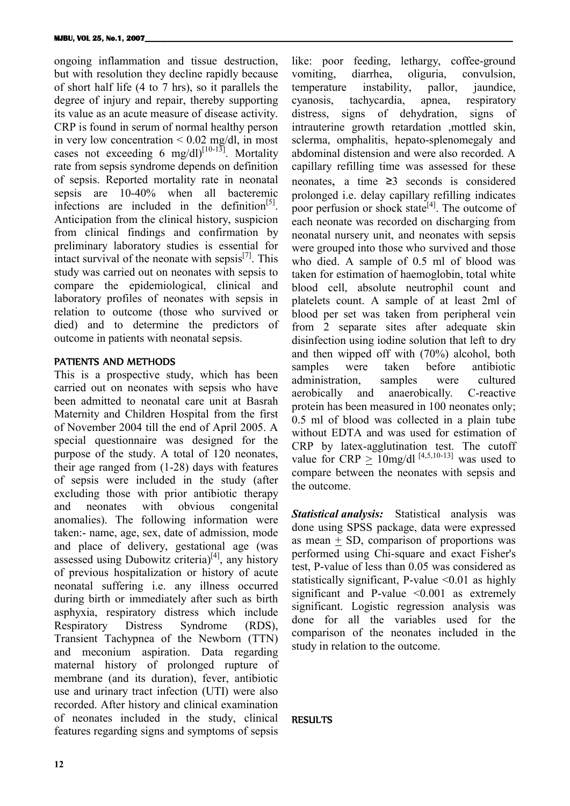ongoing inflammation and tissue destruction, but with resolution they decline rapidly because of short half life (4 to 7 hrs), so it parallels the degree of injury and repair, thereby supporting its value as an acute measure of disease activity. CRP is found in serum of normal healthy person in very low concentration  $\leq 0.02$  mg/dl, in most cases not exceeding 6 mg/dl) $^{[10-13]}$ . Mortality rate from sepsis syndrome depends on definition of sepsis. Reported mortality rate in neonatal sepsis are 10-40% when all bacteremic infections are included in the definition<sup>[5]</sup>. Anticipation from the clinical history, suspicion from clinical findings and confirmation by preliminary laboratory studies is essential for intact survival of the neonate with sepsis $^{[7]}$ . This study was carried out on neonates with sepsis to compare the epidemiological, clinical and laboratory profiles of neonates with sepsis in relation to outcome (those who survived or died) and to determine the predictors of outcome in patients with neonatal sepsis.

# PATIENTS AND METHODS

This is a prospective study, which has been carried out on neonates with sepsis who have been admitted to neonatal care unit at Basrah Maternity and Children Hospital from the first of November 2004 till the end of April 2005. A special questionnaire was designed for the purpose of the study. A total of 120 neonates, their age ranged from (1-28) days with features of sepsis were included in the study (after excluding those with prior antibiotic therapy and neonates with obvious congenital anomalies). The following information were taken:- name, age, sex, date of admission, mode and place of delivery, gestational age (was assessed using Dubowitz criteria) $[4]$ , any history of previous hospitalization or history of acute neonatal suffering i.e. any illness occurred during birth or immediately after such as birth asphyxia, respiratory distress which include Respiratory Distress Syndrome (RDS), Transient Tachypnea of the Newborn (TTN) and meconium aspiration. Data regarding maternal history of prolonged rupture of membrane (and its duration), fever, antibiotic use and urinary tract infection (UTI) were also recorded. After history and clinical examination of neonates included in the study, clinical features regarding signs and symptoms of sepsis

like: poor feeding, lethargy, coffee-ground vomiting, diarrhea, oliguria, convulsion, temperature instability, pallor, jaundice, cyanosis, tachycardia, apnea, respiratory distress, signs of dehydration, signs of intrauterine growth retardation ,mottled skin, sclerma, omphalitis, hepato-splenomegaly and abdominal distension and were also recorded. A capillary refilling time was assessed for these neonates, a time ≥3 seconds is considered prolonged i.e. delay capillary refilling indicates poor perfusion or shock state $^{[4]}$ . The outcome of each neonate was recorded on discharging from neonatal nursery unit, and neonates with sepsis were grouped into those who survived and those who died. A sample of 0.5 ml of blood was taken for estimation of haemoglobin, total white blood cell, absolute neutrophil count and platelets count. A sample of at least 2ml of blood per set was taken from peripheral vein from 2 separate sites after adequate skin disinfection using iodine solution that left to dry and then wipped off with (70%) alcohol, both samples were taken before antibiotic administration, samples were cultured aerobically and anaerobically. C-reactive protein has been measured in 100 neonates only; 0.5 ml of blood was collected in a plain tube without EDTA and was used for estimation of CRP by latex-agglutination test. The cutoff value for  $CRP > 10$ mg/dl<sup>[4,5,10-13]</sup> was used to compare between the neonates with sepsis and the outcome.

*Statistical analysis:* Statistical analysis was done using SPSS package, data were expressed as mean  $+$  SD, comparison of proportions was performed using Chi-square and exact Fisher's test, P-value of less than 0.05 was considered as statistically significant, P-value <0.01 as highly significant and P-value  $\leq 0.001$  as extremely significant. Logistic regression analysis was done for all the variables used for the comparison of the neonates included in the study in relation to the outcome.

# **RESULTS**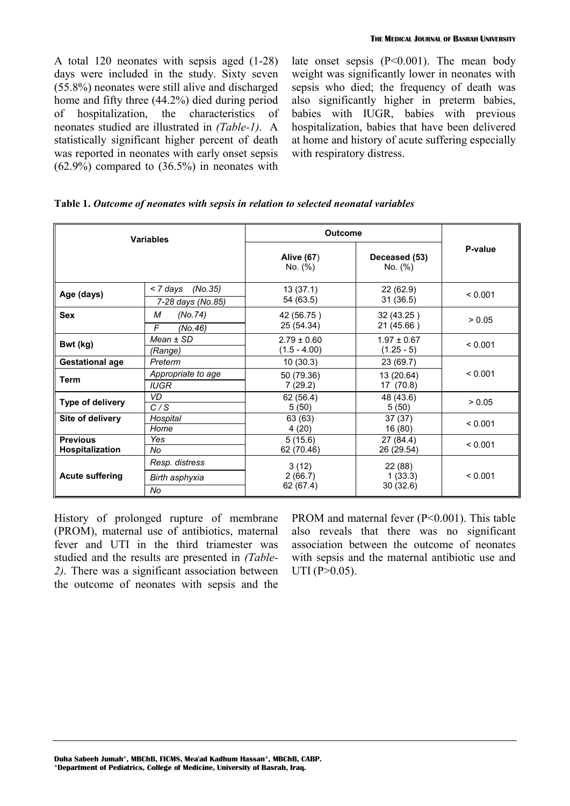A total 120 neonates with sepsis aged (1-28) days were included in the study. Sixty seven (55.8%) neonates were still alive and discharged home and fifty three (44.2%) died during period of hospitalization, the characteristics of neonates studied are illustrated in *(Table-1)*. A statistically significant higher percent of death was reported in neonates with early onset sepsis (62.9%) compared to (36.5%) in neonates with late onset sepsis  $(P<0.001)$ . The mean body weight was significantly lower in neonates with sepsis who died; the frequency of death was also significantly higher in preterm babies, babies with IUGR, babies with previous hospitalization, babies that have been delivered at home and history of acute suffering especially with respiratory distress.

|  |  | Table 1. Outcome of neonates with sepsis in relation to selected neonatal variables |  |  |  |  |  |
|--|--|-------------------------------------------------------------------------------------|--|--|--|--|--|
|--|--|-------------------------------------------------------------------------------------|--|--|--|--|--|

|                                    | <b>Variables</b>                         | <b>Outcome</b>                    |                                 |         |
|------------------------------------|------------------------------------------|-----------------------------------|---------------------------------|---------|
|                                    |                                          | Alive (67)<br>No. (%)             | Deceased (53)<br>No. (%)        | P-value |
| Age (days)                         | < 7 days<br>(No.35)<br>7-28 days (No.85) | 13(37.1)<br>54 (63.5)             | 22 (62.9)<br>31(36.5)           | < 0.001 |
| <b>Sex</b>                         | (No. 74)<br>М<br>F<br>(No.46)            | 42 (56.75)<br>25 (54.34)          | 32 (43.25)<br>21 (45.66)        | > 0.05  |
| Bwt (kg)                           | $Mean \pm SD$<br>(Range)                 | $2.79 \pm 0.60$<br>$(1.5 - 4.00)$ | $1.97 \pm 0.67$<br>$(1.25 - 5)$ | < 0.001 |
| <b>Gestational age</b>             | Preterm                                  | 10(30.3)                          | 23 (69.7)                       |         |
| Term                               | Appropriate to age<br><b>IUGR</b>        | 50 (79.36)<br>7(29.2)             | 13 (20.64)<br>17 (70.8)         | < 0.001 |
| Type of delivery                   | VD<br>C/S                                | 62 (56.4)<br>5(50)                | 48 (43.6)<br>5(50)              | > 0.05  |
| Site of delivery                   | Hospital<br>Home                         | 63 (63)<br>4(20)                  | 37(37)<br>16 (80)               | < 0.001 |
| <b>Previous</b><br>Hospitalization | Yes<br>No                                | 5(15.6)<br>62 (70.46)             | 27 (84.4)<br>26 (29.54)         | < 0.001 |
| <b>Acute suffering</b>             | Resp. distress<br>Birth asphyxia<br>No   | 3(12)<br>2(66.7)<br>62 (67.4)     | 22 (88)<br>1(33.3)<br>30(32.6)  | < 0.001 |

History of prolonged rupture of membrane (PROM), maternal use of antibiotics, maternal fever and UTI in the third triamester was studied and the results are presented in *(Table-2)*. There was a significant association between the outcome of neonates with sepsis and the PROM and maternal fever (P<0.001). This table also reveals that there was no significant association between the outcome of neonates with sepsis and the maternal antibiotic use and UTI ( $P > 0.05$ ).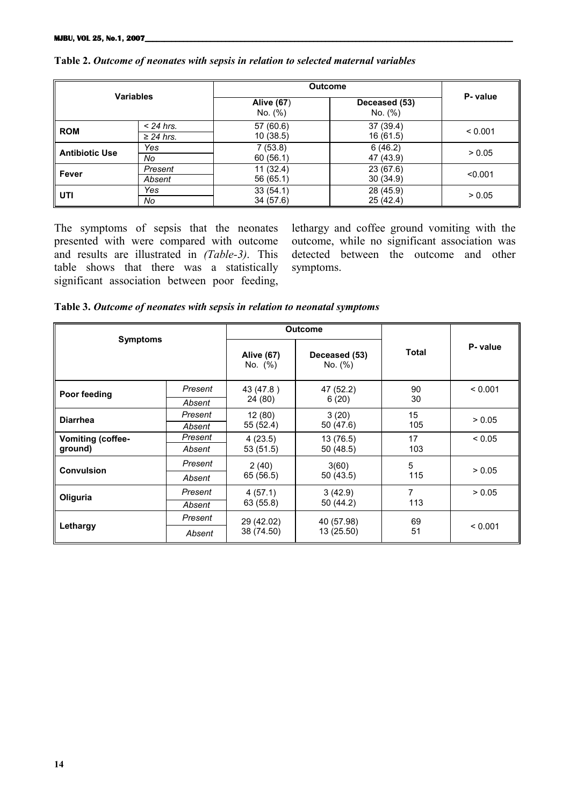|                       |                               | <b>Outcome</b>         |                          |          |
|-----------------------|-------------------------------|------------------------|--------------------------|----------|
| <b>Variables</b>      |                               | Alive (67)<br>No. (%)  | Deceased (53)<br>No. (%) | P- value |
| <b>ROM</b>            | $<$ 24 hrs.<br>$\geq$ 24 hrs. | 57 (60.6)<br>10 (38.5) | 37 (39.4)<br>16 (61.5)   | < 0.001  |
| <b>Antibiotic Use</b> | Yes<br>No                     | 7(53.8)<br>60(56.1)    | 6(46.2)<br>47 (43.9)     | > 0.05   |
| Fever                 | Present<br>Absent             | 11 (32.4)<br>56 (65.1) | 23 (67.6)<br>30(34.9)    | < 0.001  |
| l uti                 | Yes<br>No                     | 33(54.1)<br>34 (57.6)  | 28 (45.9)<br>25 (42.4)   | > 0.05   |

# **Table 2.** *Outcome of neonates with sepsis in relation to selected maternal variables*

The symptoms of sepsis that the neonates presented with were compared with outcome and results are illustrated in *(Table-3)*. This table shows that there was a statistically significant association between poor feeding,

lethargy and coffee ground vomiting with the outcome, while no significant association was detected between the outcome and other symptoms.

**Table 3.** *Outcome of neonates with sepsis in relation to neonatal symptoms*

|                          |         |                              | <b>Outcome</b>           |              |          |
|--------------------------|---------|------------------------------|--------------------------|--------------|----------|
| <b>Symptoms</b>          |         | <b>Alive (67)</b><br>No. (%) | Deceased (53)<br>No. (%) | <b>Total</b> | P- value |
| Poor feeding             | Present | 43 (47.8)                    | 47 (52.2)                | 90           | < 0.001  |
|                          | Absent  | 24 (80)                      | 6(20)                    | 30           |          |
| <b>Diarrhea</b>          | Present | 12(80)                       | 3(20)                    | 15           | > 0.05   |
|                          | Absent  | 55 (52.4)                    | 50 (47.6)                | 105          |          |
| <b>Vomiting (coffee-</b> | Present | 4(23.5)                      | 13 (76.5)                | 17           | < 0.05   |
| ground)                  | Absent  | 53 (51.5)                    | 50 (48.5)                | 103          |          |
| <b>Convulsion</b>        | Present | 2(40)                        | 3(60)                    | 5            | > 0.05   |
|                          | Absent  | 65 (56.5)                    | 50 (43.5)                | 115          |          |
| Oliguria                 | Present | 4(57.1)                      | 3(42.9)                  | 7            | > 0.05   |
|                          | Absent  | 63 (55.8)                    | 50 (44.2)                | 113          |          |
|                          | Present | 29 (42.02)                   | 40 (57.98)               | 69           |          |
| Lethargy                 | Absent  | 38 (74.50)                   | 13 (25.50)               | 51           | < 0.001  |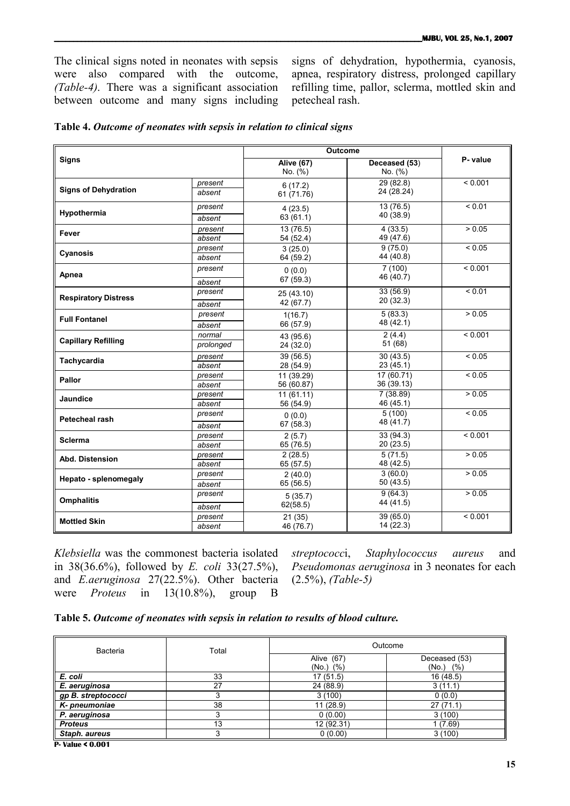The clinical signs noted in neonates with sepsis were also compared with the outcome, *(Table-4)*. There was a significant association between outcome and many signs including signs of dehydration, hypothermia, cyanosis, apnea, respiratory distress, prolonged capillary refilling time, pallor, sclerma, mottled skin and petecheal rash.

|                             |           |                              | <b>Outcome</b>           |             |  |
|-----------------------------|-----------|------------------------------|--------------------------|-------------|--|
| <b>Signs</b>                |           | <b>Alive (67)</b><br>No. (%) | Deceased (53)<br>No. (%) | P- value    |  |
|                             | present   | 6(17.2)                      | 29(82.8)                 | < 0.001     |  |
| <b>Signs of Dehydration</b> | absent    | 61 (71.76)                   | 24 (28.24)               |             |  |
| Hypothermia                 | present   | 4(23.5)                      | 13(76.5)                 | ${}_{0.01}$ |  |
|                             | absent    | 63 (61.1)                    | 40 (38.9)                |             |  |
| Fever                       | present   | 13(76.5)                     | 4(33.5)                  | > 0.05      |  |
|                             | absent    | 54 (52.4)                    | 49 (47.6)                |             |  |
| Cyanosis                    | present   | 3(25.0)                      | 9(75.0)                  | ${}_{0.05}$ |  |
|                             | absent    | 64 (59.2)                    | 44 (40.8)                |             |  |
| Apnea                       | present   | 0(0.0)                       | 7(100)                   | < 0.001     |  |
|                             | absent    | 67 (59.3)                    | 46 (40.7)                |             |  |
| <b>Respiratory Distress</b> | present   | 25 (43.10)                   | 33 (56.9)                | < 0.01      |  |
|                             | absent    | 42 (67.7)                    | 20 (32.3)                |             |  |
| <b>Full Fontanel</b>        | present   | 1(16.7)                      | 5(83.3)                  | > 0.05      |  |
|                             | absent    | 66 (57.9)                    | 48 (42.1)                |             |  |
| <b>Capillary Refilling</b>  | normal    | 43 (95.6)                    | 2(4.4)                   | < 0.001     |  |
|                             | prolonged | 24 (32.0)                    | 51 (68)                  |             |  |
| Tachycardia                 | present   | 39 (56.5)                    | 30(43.5)                 | ${}_{0.05}$ |  |
|                             | absent    | 28 (54.9)                    | 23(45.1)                 |             |  |
| Pallor                      | present   | 11 (39.29)                   | 17(60.71)                | < 0.05      |  |
|                             | absent    | 56 (60.87)                   | 36 (39.13)               |             |  |
| Jaundice                    | present   | 11(61.11)                    | 7(38.89)                 | > 0.05      |  |
|                             | absent    | 56 (54.9)                    | 46 (45.1)                |             |  |
| <b>Petecheal rash</b>       | present   | 0(0.0)                       | 5(100)                   | ${}_{0.05}$ |  |
|                             | absent    | 67(58.3)                     | 48 (41.7)                |             |  |
| <b>Sclerma</b>              | present   | 2(5.7)                       | 33(94.3)                 | < 0.001     |  |
|                             | absent    | 65 (76.5)                    | 20 (23.5)                |             |  |
| Abd. Distension             | present   | 2(28.5)                      | 5(71.5)                  | > 0.05      |  |
|                             | absent    | 65(57.5)                     | 48 (42.5)                |             |  |
| Hepato - splenomegaly       | present   | 2(40.0)                      | 3(60.0)                  | > 0.05      |  |
|                             | absent    | 65 (56.5)                    | 50 (43.5)                |             |  |
| <b>Omphalitis</b>           | present   | 5(35.7)                      | 9(64.3)                  | > 0.05      |  |
|                             | absent    | 62(58.5)                     | 44 (41.5)                |             |  |
| <b>Mottled Skin</b>         | present   | 21(35)                       | 39 (65.0)                | < 0.001     |  |
|                             | absent    | 46 (76.7)                    | 14 (22.3)                |             |  |

|  |  |  | Table 4. Outcome of neonates with sepsis in relation to clinical signs |  |  |  |  |  |
|--|--|--|------------------------------------------------------------------------|--|--|--|--|--|
|--|--|--|------------------------------------------------------------------------|--|--|--|--|--|

*Klebsiella* was the commonest bacteria isolated in 38(36.6%), followed by *E. coli* 33(27.5%), and *E.aeruginosa* 27(22.5%). Other bacteria were *Proteus* in 13(10.8%), group B

*streptococc*i, *Staphylococcus aureus* and *Pseudomonas aeruginosa* in 3 neonates for each (2.5%), *(Table-5)*

|  | Table 5. Outcome of neonates with sepsis in relation to results of blood culture. |  |  |  |  |
|--|-----------------------------------------------------------------------------------|--|--|--|--|
|  |                                                                                   |  |  |  |  |

| Bacteria           | Total | Outcome                      |                                 |  |
|--------------------|-------|------------------------------|---------------------------------|--|
|                    |       | Alive (67)<br>$(No.)$ $(\%)$ | Deceased (53)<br>$(No.)$ $(\%)$ |  |
| E. coli            | 33    | 17(51.5)                     | 16 (48.5)                       |  |
| E. aeruginosa      | 27    | 24 (88.9)                    | 3(11.1)                         |  |
| gp B. streptococci |       | 3(100)                       | 0(0.0)                          |  |
| K-pneumoniae       | 38    | 11(28.9)                     | 27(71.1)                        |  |
| P. aeruginosa      |       | 0(0.00)                      | 3(100)                          |  |
| <b>Proteus</b>     | 13    | 12 (92.31)                   | 1(7.69)                         |  |
| Staph. aureus      |       | 0(0.00)                      | 3(100)                          |  |

**P- Value < 0.001**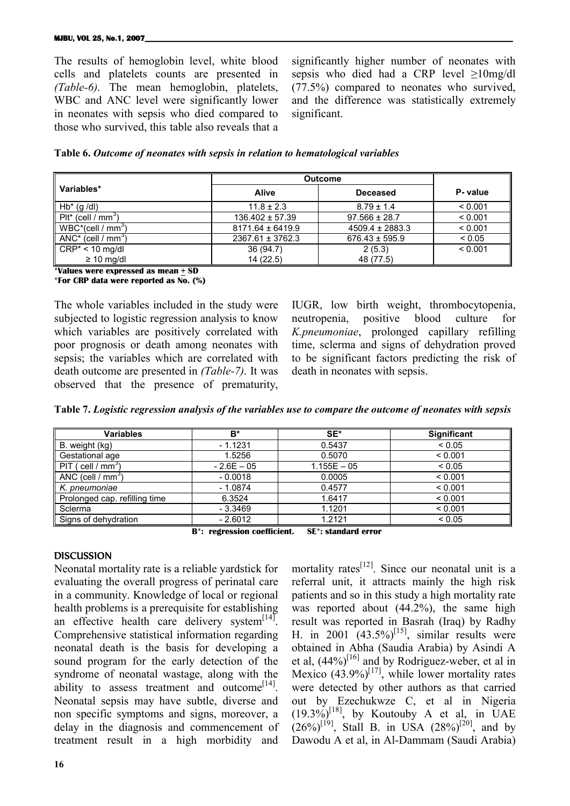#### **MJBU, VOL 25, No.1, 2007**

The results of hemoglobin level, white blood cells and platelets counts are presented in *(Table-6)*. The mean hemoglobin, platelets, WBC and ANC level were significantly lower in neonates with sepsis who died compared to those who survived, this table also reveals that a

significantly higher number of neonates with sepsis who died had a CRP level  $\geq 10$ mg/dl (77.5%) compared to neonates who survived, and the difference was statistically extremely significant.

|  | Table 6. Outcome of neonates with sepsis in relation to hematological variables |  |  |
|--|---------------------------------------------------------------------------------|--|--|
|  |                                                                                 |  |  |

|                                               | <b>Outcome</b>       |                     |          |
|-----------------------------------------------|----------------------|---------------------|----------|
| Variables*                                    | <b>Alive</b>         | <b>Deceased</b>     | P- value |
| $Hb^*$ (g /dl)                                | $11.8 \pm 2.3$       | $8.79 \pm 1.4$      | < 0.001  |
| $P$ lt <sup>*</sup> (cell / mm <sup>3</sup> ) | $136.402 \pm 57.39$  | $97.566 \pm 28.7$   | < 0.001  |
| $WBC^*(cell / mm^3)$                          | $8171.64 \pm 6419.9$ | $4509.4 \pm 2883.3$ | < 0.001  |
| $ANC^*$ (cell / mm <sup>3</sup> )             | $2367.61 \pm 3762.3$ | $676.43 \pm 595.9$  | < 0.05   |
| $CRP^* < 10$ mg/dl                            | 36 (94.7)            | 2(5.3)              | < 0.001  |
| $\geq 10$ mg/dl                               | 14(22.5)             | 48 (77.5)           |          |

**\*Values were expressed as mean + SD**

**\*For CRP data were reported as No. (%)**

The whole variables included in the study were subjected to logistic regression analysis to know which variables are positively correlated with poor prognosis or death among neonates with sepsis; the variables which are correlated with death outcome are presented in *(Table-7)*. It was observed that the presence of prematurity, IUGR, low birth weight, thrombocytopenia, neutropenia, positive blood culture for *K.pneumoniae*, prolonged capillary refilling time, sclerma and signs of dehydration proved to be significant factors predicting the risk of death in neonates with sepsis.

|  |  |  | Table 7. Logistic regression analysis of the variables use to compare the outcome of neonates with sepsis |  |
|--|--|--|-----------------------------------------------------------------------------------------------------------|--|
|  |  |  |                                                                                                           |  |

| <b>Variables</b>                 | B*           | SE*           | <b>Significant</b> |
|----------------------------------|--------------|---------------|--------------------|
| B. weight (kg)                   | $-1.1231$    | 0.5437        | ${}_{0.05}$        |
| Gestational age                  | 1.5256       | 0.5070        | < 0.001            |
| $PIT$ ( cell / mm <sup>3</sup> ) | $-2.6E - 05$ | $1.155E - 05$ | < 0.05             |
| ANC (cell / $mm3$ )              | $-0.0018$    | 0.0005        | < 0.001            |
| K. pneumoniae                    | $-1.0874$    | 0.4577        | < 0.001            |
| Prolonged cap. refilling time    | 6.3524       | 1.6417        | < 0.001            |
| Sclerma                          | $-3.3469$    | 1.1201        | < 0.001            |
| Signs of dehydration             | $-2.6012$    | 1.2121        | < 0.05             |

**B\*: regression coefficient. SE\*: standard error**

# **DISCUSSION**

Neonatal mortality rate is a reliable yardstick for evaluating the overall progress of perinatal care in a community. Knowledge of local or regional health problems is a prerequisite for establishing an effective health care delivery system $<sup>[14]</sup>$ .</sup> Comprehensive statistical information regarding neonatal death is the basis for developing a sound program for the early detection of the syndrome of neonatal wastage, along with the ability to assess treatment and outcome<sup>[14]</sup>. Neonatal sepsis may have subtle, diverse and non specific symptoms and signs, moreover, a delay in the diagnosis and commencement of treatment result in a high morbidity and

**16**

mortality rates<sup>[12]</sup>. Since our neonatal unit is a referral unit, it attracts mainly the high risk patients and so in this study a high mortality rate was reported about (44.2%), the same high result was reported in Basrah (Iraq) by Radhy H. in 2001  $(43.5\%)^{[15]}$ , similar results were obtained in Abha (Saudia Arabia) by Asindi A et al,  $(44\%)^{[16]}$  and by Rodriguez-weber, et al in Mexico  $(43.9\%)^{[17]}$ , while lower mortality rates were detected by other authors as that carried out by Ezechukwze C, et al in Nigeria  $(19.3\%)^{[18]}$ , by Koutouby A et al, in UAE  $(26\%)^{[19]}$ , Stall B. in USA  $(28\%)^{[20]}$ , and by Dawodu A et al, in Al-Dammam (Saudi Arabia)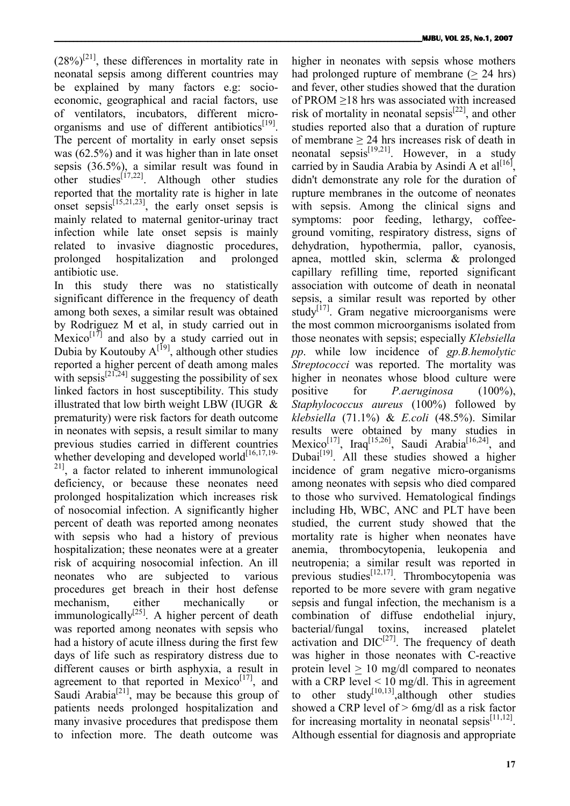$(28\%)^{[21]}$ , these differences in mortality rate in neonatal sepsis among different countries may be explained by many factors e.g: socioeconomic, geographical and racial factors, use of ventilators, incubators, different microorganisms and use of different antibiotics $[19]$ . The percent of mortality in early onset sepsis was (62.5%) and it was higher than in late onset sepsis (36.5%), a similar result was found in other studies<sup>[17,22]</sup>. Although other studies reported that the mortality rate is higher in late onset sepsis<sup>[15,21,23]</sup>, the early onset sepsis is mainly related to maternal genitor-urinay tract infection while late onset sepsis is mainly related to invasive diagnostic procedures, prolonged hospitalization and prolonged antibiotic use.

In this study there was no statistically significant difference in the frequency of death among both sexes, a similar result was obtained by Rodriguez M et al, in study carried out in Mexico<sup>[17]</sup> and also by a study carried out in Dubia by Koutouby  $A^{[19]}$ , although other studies reported a higher percent of death among males with sepsis<sup>[21,24]</sup> suggesting the possibility of sex linked factors in host susceptibility. This study illustrated that low birth weight LBW (IUGR & prematurity) were risk factors for death outcome in neonates with sepsis, a result similar to many previous studies carried in different countries whether developing and developed world $[16,17,19-$ <sup>21]</sup>, a factor related to inherent immunological deficiency, or because these neonates need prolonged hospitalization which increases risk of nosocomial infection. A significantly higher percent of death was reported among neonates with sepsis who had a history of previous hospitalization; these neonates were at a greater risk of acquiring nosocomial infection. An ill neonates who are subjected to various procedures get breach in their host defense mechanism, either mechanically or immunologically $^{[25]}$ . A higher percent of death was reported among neonates with sepsis who had a history of acute illness during the first few days of life such as respiratory distress due to different causes or birth asphyxia, a result in agreement to that reported in Mexico<sup>[17]</sup>, and Saudi Arabia<sup>[21]</sup>, may be because this group of patients needs prolonged hospitalization and many invasive procedures that predispose them to infection more. The death outcome was

higher in neonates with sepsis whose mothers had prolonged rupture of membrane  $(> 24$  hrs) and fever, other studies showed that the duration of PROM ≥18 hrs was associated with increased risk of mortality in neonatal sepsis $[22]$ , and other studies reported also that a duration of rupture of membrane  $> 24$  hrs increases risk of death in neonatal sepsis<sup>[19,21]</sup>. However, in a study carried by in Saudia Arabia by Asindi A et al<sup>[16]</sup>, didn't demonstrate any role for the duration of rupture membranes in the outcome of neonates with sepsis. Among the clinical signs and symptoms: poor feeding, lethargy, coffeeground vomiting, respiratory distress, signs of dehydration, hypothermia, pallor, cyanosis, apnea, mottled skin, sclerma & prolonged capillary refilling time, reported significant association with outcome of death in neonatal sepsis, a similar result was reported by other study $[17]$ . Gram negative microorganisms were the most common microorganisms isolated from those neonates with sepsis; especially *Klebsiella pp*. while low incidence of *gp.B.hemolytic Streptococci* was reported. The mortality was higher in neonates whose blood culture were positive for *P.aeruginosa* (100%), *Staphylococcus aureus* (100%) followed by *klebsiella* (71.1%) & *E.coli* (48.5%). Similar results were obtained by many studies in Mexico<sup>[17]</sup>, Iraq<sup>[15,26]</sup>, Saudi Arabia<sup>[16,24]</sup>, and Dubai $[19]$ . All these studies showed a higher incidence of gram negative micro-organisms among neonates with sepsis who died compared to those who survived. Hematological findings including Hb, WBC, ANC and PLT have been studied, the current study showed that the mortality rate is higher when neonates have anemia, thrombocytopenia, leukopenia and neutropenia; a similar result was reported in previous studies<sup>[12,17]</sup>. Thrombocytopenia was reported to be more severe with gram negative sepsis and fungal infection, the mechanism is a combination of diffuse endothelial injury, bacterial/fungal toxins, increased platelet activation and  $DIC^{[27]}$ . The frequency of death was higher in those neonates with C-reactive protein  $level > 10$  mg/dl compared to neonates with a CRP level  $\leq 10$  mg/dl. This in agreement to other study $\left[10,13\right]$ , although other studies showed a CRP level of  $> 6$ mg/dl as a risk factor for increasing mortality in neonatal sepsis $[11,12]$ . Although essential for diagnosis and appropriate